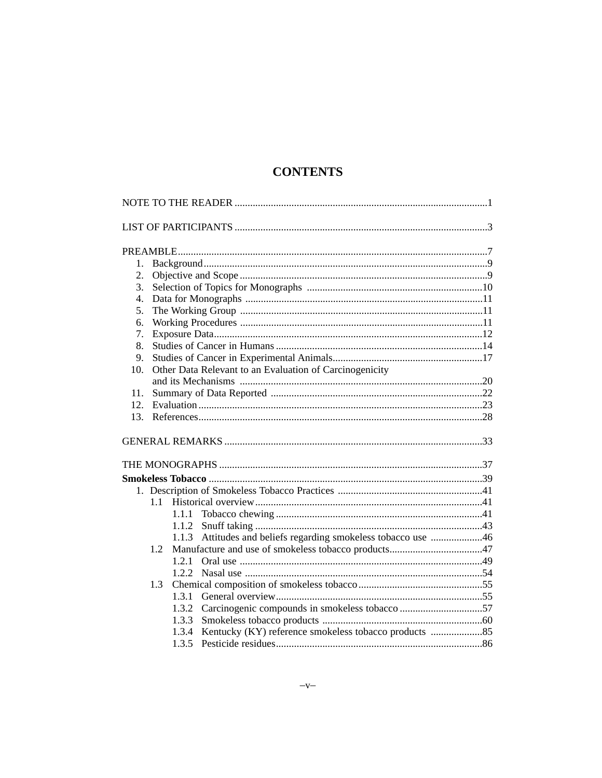# **CONTENTS**

| 1.             |                                                         |                                                                   |  |
|----------------|---------------------------------------------------------|-------------------------------------------------------------------|--|
| 2.             |                                                         |                                                                   |  |
| 3.             |                                                         |                                                                   |  |
| $\mathbf{4}$ . |                                                         |                                                                   |  |
| 5.             |                                                         |                                                                   |  |
| 6.             |                                                         |                                                                   |  |
| 7.             |                                                         |                                                                   |  |
| 8.             |                                                         |                                                                   |  |
| 9.             |                                                         |                                                                   |  |
| 10.            | Other Data Relevant to an Evaluation of Carcinogenicity |                                                                   |  |
|                |                                                         |                                                                   |  |
| 11.            |                                                         |                                                                   |  |
| 12.            |                                                         |                                                                   |  |
| 13.            |                                                         |                                                                   |  |
|                |                                                         |                                                                   |  |
|                |                                                         |                                                                   |  |
|                |                                                         |                                                                   |  |
|                |                                                         |                                                                   |  |
|                |                                                         |                                                                   |  |
|                | $1.1 -$                                                 |                                                                   |  |
|                |                                                         | 1.1.1                                                             |  |
|                |                                                         | 1.1.2                                                             |  |
|                |                                                         | Attitudes and beliefs regarding smokeless tobacco use 46<br>1.1.3 |  |
|                | 1.2                                                     |                                                                   |  |
|                |                                                         | 1.2.1                                                             |  |
|                |                                                         | 1.2.2                                                             |  |
|                | 1.3                                                     |                                                                   |  |
|                |                                                         | 1.3.1                                                             |  |
|                |                                                         | 1.3.2 Carcinogenic compounds in smokeless tobacco 57              |  |
|                |                                                         | 1.3.3                                                             |  |
|                |                                                         | 1.3.4                                                             |  |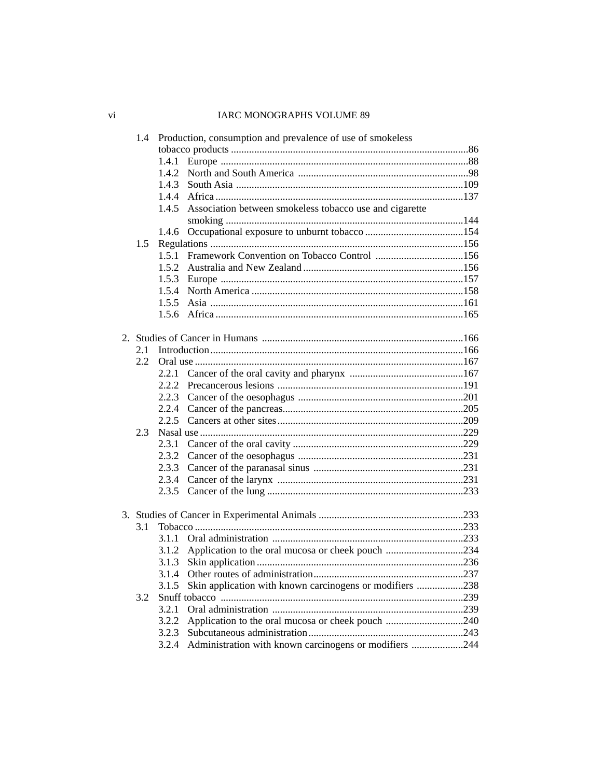## 

|               |       | 1.4 Production, consumption and prevalence of use of smokeless |  |
|---------------|-------|----------------------------------------------------------------|--|
|               |       |                                                                |  |
|               | 1.4.1 |                                                                |  |
|               |       |                                                                |  |
|               |       |                                                                |  |
|               |       |                                                                |  |
|               |       | 1.4.5 Association between smokeless tobacco use and cigarette  |  |
|               |       |                                                                |  |
|               |       |                                                                |  |
| 1.5           |       |                                                                |  |
|               |       | 1.5.1 Framework Convention on Tobacco Control 156              |  |
|               |       |                                                                |  |
|               |       |                                                                |  |
|               |       |                                                                |  |
|               |       |                                                                |  |
|               |       |                                                                |  |
|               |       |                                                                |  |
| 2.1           |       |                                                                |  |
| $2.2^{\circ}$ |       |                                                                |  |
|               | 2.2.1 |                                                                |  |
|               |       |                                                                |  |
|               |       |                                                                |  |
|               |       |                                                                |  |
|               |       |                                                                |  |
| 2.3           |       |                                                                |  |
|               | 2.3.1 |                                                                |  |
|               |       |                                                                |  |
|               |       |                                                                |  |
|               |       |                                                                |  |
|               |       |                                                                |  |
|               |       |                                                                |  |
|               |       |                                                                |  |
| 3.1           |       |                                                                |  |
|               |       |                                                                |  |
|               |       |                                                                |  |
|               | 3.1.3 |                                                                |  |
|               | 3.1.4 |                                                                |  |
|               | 3.1.5 | Skin application with known carcinogens or modifiers 238       |  |
| 3.2           |       |                                                                |  |
|               | 3.2.1 |                                                                |  |
|               | 3.2.2 | Application to the oral mucosa or cheek pouch 240              |  |
|               | 3.2.3 |                                                                |  |
|               |       | 3.2.4 Administration with known carcinogens or modifiers 244   |  |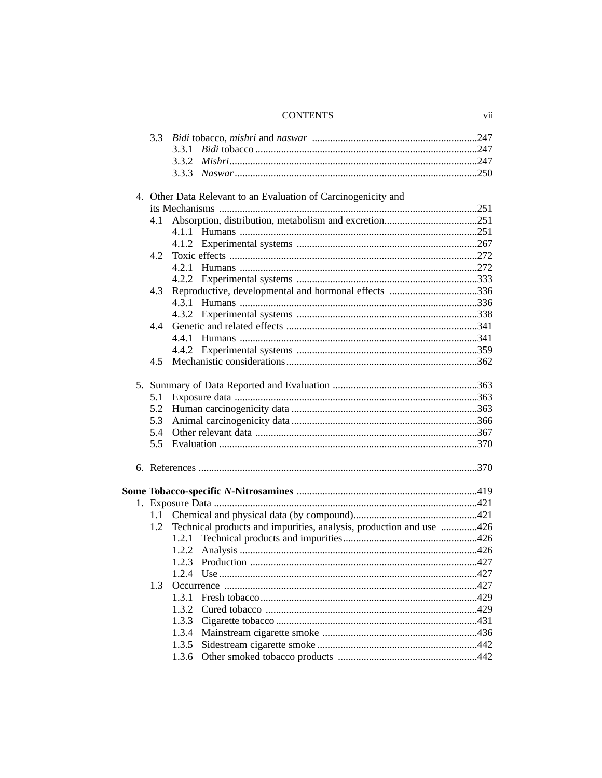### **CONTENTS**

|                                                                | 3.3     |                                                                     |  |  |
|----------------------------------------------------------------|---------|---------------------------------------------------------------------|--|--|
|                                                                |         | 3.3.1                                                               |  |  |
|                                                                |         | 3.3.2                                                               |  |  |
|                                                                |         |                                                                     |  |  |
|                                                                |         |                                                                     |  |  |
| 4. Other Data Relevant to an Evaluation of Carcinogenicity and |         |                                                                     |  |  |
|                                                                |         |                                                                     |  |  |
|                                                                | 4.1     |                                                                     |  |  |
|                                                                |         |                                                                     |  |  |
|                                                                |         |                                                                     |  |  |
|                                                                | 4.2     |                                                                     |  |  |
|                                                                |         |                                                                     |  |  |
|                                                                |         |                                                                     |  |  |
|                                                                | 4.3     | Reproductive, developmental and hormonal effects 336                |  |  |
|                                                                |         |                                                                     |  |  |
|                                                                |         |                                                                     |  |  |
|                                                                | 4.4     |                                                                     |  |  |
|                                                                |         | 4.4.1                                                               |  |  |
|                                                                |         |                                                                     |  |  |
|                                                                | 4.5     |                                                                     |  |  |
|                                                                |         |                                                                     |  |  |
|                                                                | 5.1     |                                                                     |  |  |
|                                                                | 5.2     |                                                                     |  |  |
|                                                                | 5.3     |                                                                     |  |  |
|                                                                | 5.4     |                                                                     |  |  |
|                                                                | 5.5     |                                                                     |  |  |
|                                                                |         |                                                                     |  |  |
|                                                                |         |                                                                     |  |  |
|                                                                |         |                                                                     |  |  |
|                                                                |         |                                                                     |  |  |
|                                                                | $1.1 -$ |                                                                     |  |  |
|                                                                | 1.2     | Technical products and impurities, analysis, production and use 426 |  |  |
|                                                                |         | 1.2.1                                                               |  |  |
|                                                                |         | 1.2.2                                                               |  |  |
|                                                                |         |                                                                     |  |  |
|                                                                |         | 1.2.4                                                               |  |  |
|                                                                |         |                                                                     |  |  |
|                                                                | 1.3     |                                                                     |  |  |
|                                                                |         | 1.3.1                                                               |  |  |
|                                                                |         | 1.3.2                                                               |  |  |
|                                                                |         | 1.3.3                                                               |  |  |
|                                                                |         |                                                                     |  |  |
|                                                                |         | 1.3.5                                                               |  |  |
|                                                                |         |                                                                     |  |  |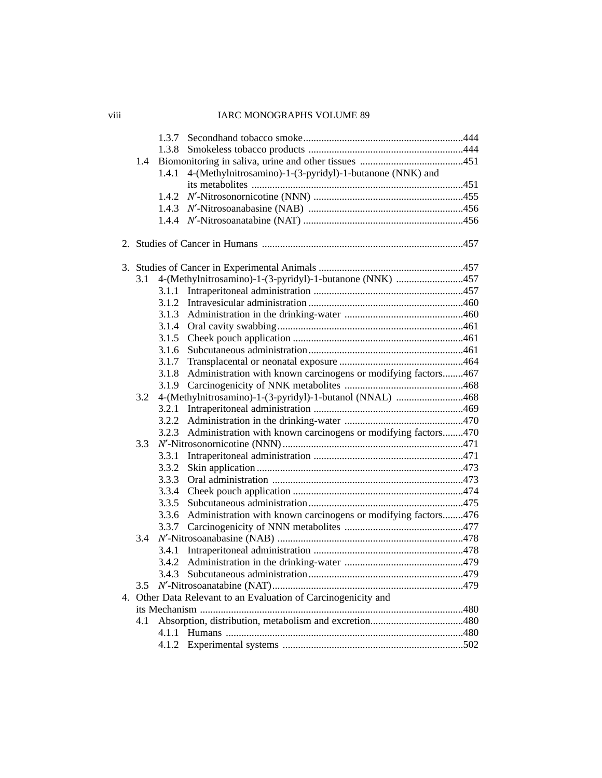|     | 1.3.7 |                                                                |  |
|-----|-------|----------------------------------------------------------------|--|
|     | 1.3.8 |                                                                |  |
| 1.4 |       |                                                                |  |
|     | 1.4.1 | 4-(Methylnitrosamino)-1-(3-pyridyl)-1-butanone (NNK) and       |  |
|     |       |                                                                |  |
|     | 1.4.2 |                                                                |  |
|     |       |                                                                |  |
|     |       |                                                                |  |
|     |       |                                                                |  |
|     |       |                                                                |  |
| 3.1 |       | 4-(Methylnitrosamino)-1-(3-pyridyl)-1-butanone (NNK) 457       |  |
|     | 3.1.1 |                                                                |  |
|     | 3.1.2 |                                                                |  |
|     | 3.1.3 |                                                                |  |
|     | 3.1.4 |                                                                |  |
|     | 3.1.5 |                                                                |  |
|     | 3.1.6 |                                                                |  |
|     | 3.1.7 |                                                                |  |
|     | 3.1.8 | Administration with known carcinogens or modifying factors467  |  |
|     | 3.1.9 |                                                                |  |
| 3.2 |       | 4-(Methylnitrosamino)-1-(3-pyridyl)-1-butanol (NNAL) 468       |  |
|     | 3.2.1 |                                                                |  |
|     | 3.2.2 |                                                                |  |
|     | 3.2.3 | Administration with known carcinogens or modifying factors470  |  |
| 3.3 |       |                                                                |  |
|     | 3.3.1 |                                                                |  |
|     | 3.3.2 |                                                                |  |
|     | 3.3.3 |                                                                |  |
|     | 3.3.4 |                                                                |  |
|     | 3.3.5 |                                                                |  |
|     | 3.3.6 | Administration with known carcinogens or modifying factors476  |  |
|     |       |                                                                |  |
| 3.4 |       |                                                                |  |
|     | 3.4.1 |                                                                |  |
|     |       |                                                                |  |
|     |       |                                                                |  |
| 3.5 |       |                                                                |  |
|     |       | 4. Other Data Relevant to an Evaluation of Carcinogenicity and |  |
|     |       |                                                                |  |
| 4.1 |       |                                                                |  |
|     | 4.1.1 |                                                                |  |
|     | 4.1.2 |                                                                |  |
|     |       |                                                                |  |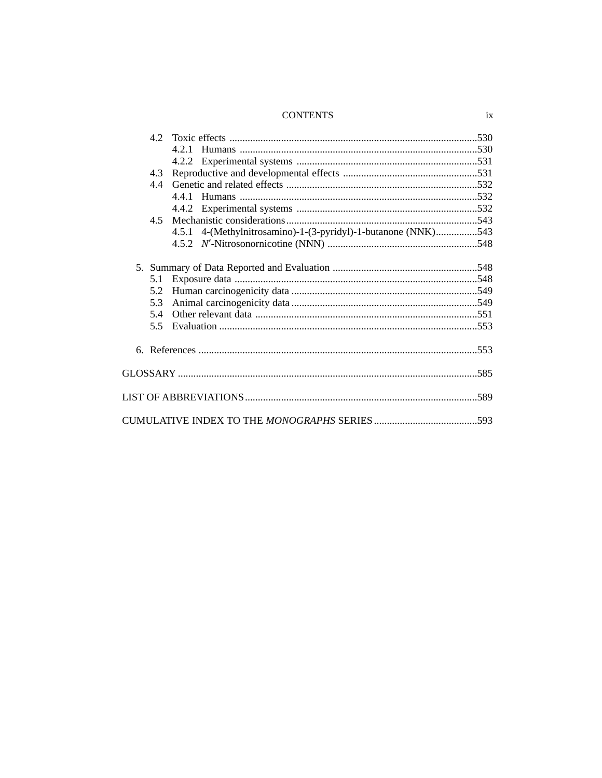### **CONTENTS**

| 4.5.1 4-(Methylnitrosamino)-1-(3-pyridyl)-1-butanone (NNK)543 |
|---------------------------------------------------------------|
|                                                               |
|                                                               |
|                                                               |
|                                                               |
|                                                               |
|                                                               |
|                                                               |
|                                                               |
|                                                               |
|                                                               |
|                                                               |
|                                                               |
|                                                               |
|                                                               |
|                                                               |
|                                                               |
|                                                               |